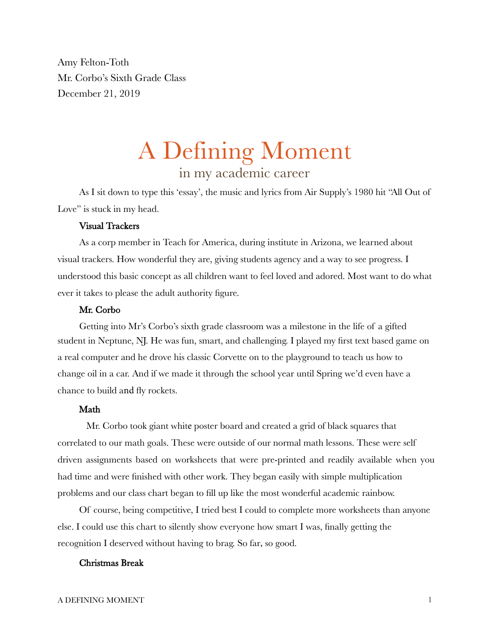Amy Felton-Toth Mr. Corbo's Sixth Grade Class December 21, 2019

# A Defining Moment in my academic career

As I sit down to type this 'essay', the music and lyrics from Air Supply's 1980 hit "All Out of Love" is stuck in my head.

## Visual Trackers

As a corp member in Teach for America, during institute in Arizona, we learned about visual trackers. How wonderful they are, giving students agency and a way to see progress. I understood this basic concept as all children want to feel loved and adored. Most want to do what ever it takes to please the adult authority figure.

## Mr. Corbo

Getting into Mr's Corbo's sixth grade classroom was a milestone in the life of a gifted student in Neptune, NJ. He was fun, smart, and challenging. I played my first text based game on a real computer and he drove his classic Corvette on to the playground to teach us how to change oil in a car. And if we made it through the school year until Spring we'd even have a chance to build and fly rockets.

## Math

Mr. Corbo took giant white poster board and created a grid of black squares that correlated to our math goals. These were outside of our normal math lessons. These were self driven assignments based on worksheets that were pre-printed and readily available when you had time and were finished with other work. They began easily with simple multiplication problems and our class chart began to fill up like the most wonderful academic rainbow.

Of course, being competitive, I tried best I could to complete more worksheets than anyone else. I could use this chart to silently show everyone how smart I was, finally getting the recognition I deserved without having to brag. So far, so good.

## Christmas Break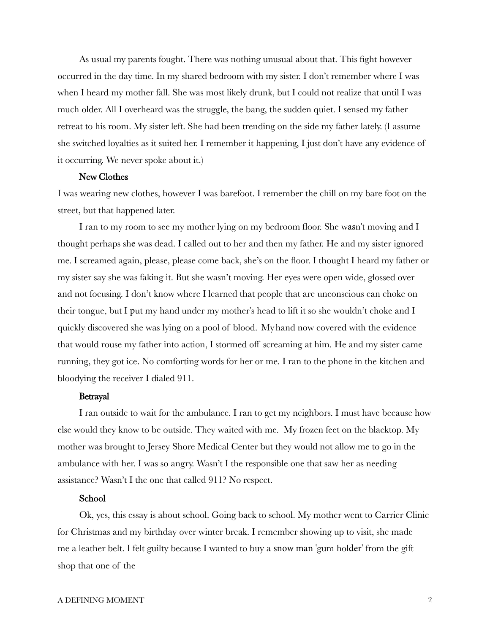As usual my parents fought. There was nothing unusual about that. This fight however occurred in the day time. In my shared bedroom with my sister. I don't remember where I was when I heard my mother fall. She was most likely drunk, but I could not realize that until I was much older. All I overheard was the struggle, the bang, the sudden quiet. I sensed my father retreat to his room. My sister left. She had been trending on the side my father lately. (I assume she switched loyalties as it suited her. I remember it happening, I just don't have any evidence of it occurring. We never spoke about it.)

#### New Clothes

I was wearing new clothes, however I was barefoot. I remember the chill on my bare foot on the street, but that happened later.

I ran to my room to see my mother lying on my bedroom floor. She wasn't moving and I thought perhaps she was dead. I called out to her and then my father. He and my sister ignored me. I screamed again, please, please come back, she's on the floor. I thought I heard my father or my sister say she was faking it. But she wasn't moving. Her eyes were open wide, glossed over and not focusing. I don't know where I learned that people that are unconscious can choke on their tongue, but I put my hand under my mother's head to lift it so she wouldn't choke and I quickly discovered she was lying on a pool of blood. My hand now covered with the evidence that would rouse my father into action, I stormed off screaming at him. He and my sister came running, they got ice. No comforting words for her or me. I ran to the phone in the kitchen and bloodying the receiver I dialed 911.

#### Betrayal

I ran outside to wait for the ambulance. I ran to get my neighbors. I must have because how else would they know to be outside. They waited with me. My frozen feet on the blacktop. My mother was brought to Jersey Shore Medical Center but they would not allow me to go in the ambulance with her. I was so angry. Wasn't I the responsible one that saw her as needing assistance? Wasn't I the one that called 911? No respect.

## School

Ok, yes, this essay is about school. Going back to school. My mother went to Carrier Clinic for Christmas and my birthday over winter break. I remember showing up to visit, she made me a leather belt. I felt guilty because I wanted to buy a snow man 'gum holder' from the gift shop that one of the